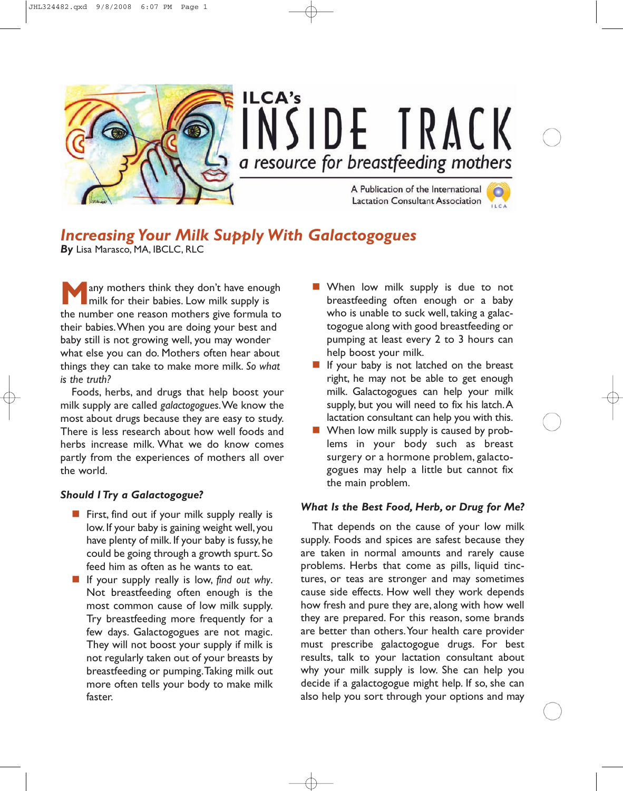

## *Increasing Your Milk Supply With Galactogogues*

*By* Lisa Marasco, MA, IBCLC, RLC

any mothers think they don't have enough milk for their babies. Low milk supply is the number one reason mothers give formula to their babies.When you are doing your best and baby still is not growing well, you may wonder what else you can do. Mothers often hear about things they can take to make more milk. *So what is the truth?*

Foods, herbs, and drugs that help boost your milk supply are called *galactogogues*.We know the most about drugs because they are easy to study. There is less research about how well foods and herbs increase milk. What we do know comes partly from the experiences of mothers all over the world.

## *Should I Try a Galactogogue?*

- $\blacksquare$  First, find out if your milk supply really is low. If your baby is gaining weight well, you have plenty of milk. If your baby is fussy, he could be going through a growth spurt. So feed him as often as he wants to eat.
- **If** your supply really is low, find out why. Not breastfeeding often enough is the most common cause of low milk supply. Try breastfeeding more frequently for a few days. Galactogogues are not magic. They will not boost your supply if milk is not regularly taken out of your breasts by breastfeeding or pumping.Taking milk out more often tells your body to make milk faster.
- **Now MILE** When low milk supply is due to not breastfeeding often enough or a baby who is unable to suck well, taking a galactogogue along with good breastfeeding or pumping at least every 2 to 3 hours can help boost your milk.
- If your baby is not latched on the breast right, he may not be able to get enough milk. Galactogogues can help your milk supply, but you will need to fix his latch.A lactation consultant can help you with this.
- When low milk supply is caused by problems in your body such as breast surgery or a hormone problem, galactogogues may help a little but cannot fix the main problem.

## *What Is the Best Food, Herb, or Drug for Me?*

That depends on the cause of your low milk supply. Foods and spices are safest because they are taken in normal amounts and rarely cause problems. Herbs that come as pills, liquid tinctures, or teas are stronger and may sometimes cause side effects. How well they work depends how fresh and pure they are, along with how well they are prepared. For this reason, some brands are better than others.Your health care provider must prescribe galactogogue drugs. For best results, talk to your lactation consultant about why your milk supply is low. She can help you decide if a galactogogue might help. If so, she can also help you sort through your options and may